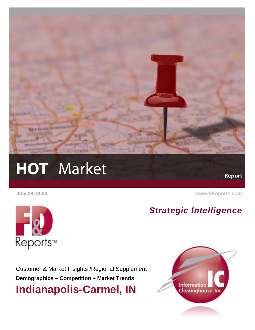

# HOT Market Report

 **July 29, 2009 [www.fdreports.com](http://www.fdreports.com/)**



*Strategic Intelligence*

Customer & Market Insights /Regional Supplement **Demographics – Competition – Market Trends Indianapolis-Carmel, IN** 

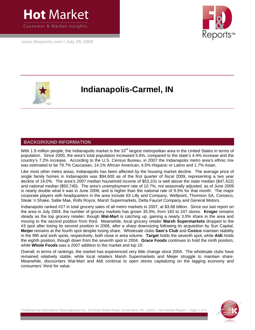

**[www.fdreports.com](http://www.fdreports.com/) I July 29, 2009**





## **Indianapolis-Carmel, IN**

#### **BACKGROUND INFORMATION**

With 1.9 million people, the Indianapolis market is the 33<sup>rd</sup> largest metropolitan area in the United States in terms of population. Since 2000, the area's total population increased 5.6%, compared to the state's 4.4% increase and the country's 7.2% increase. According to the U.S. Census Bureau, in 2007 the Indianapolis metro area's ethnic mix was estimated to be 79.7% Caucasian, 14.1% African American, 4.5% Hispanic or Latino and 1.7% Asian.

Like most other metro areas, Indianapolis has been affected by the housing market decline. The average price of single family homes in Indianapolis was \$94,600 as of the first quarter of fiscal 2009, representing a two year decline of 19.0%. The area's 2007 median household income of \$53,101 is well above the state median (\$47,422) and national median (\$50,740). The area's unemployment rate of 10.7%, not seasonally adjusted, as of June 2009 is nearly double what it was in June 2008, and is higher than the national rate of 9.5% for that month. The major corporate players with headquarters in the area include Eli Lilly and Company, Wellpoint, Thomson SA, Conseco, Steak 'n Shake, Sallie Mae, Rolls Royce, Marsh Supermarkets, Delta Faucet Company and General Motors.

Indianapolis ranked #27 in total grocery sales of all metro markets in 2007, at \$3.68 billion. Since our last report on the area in July 2004, the number of grocery markets has grown 35.0%, from 183 to 247 stores. **Kroger** remains steady as the top grocery retailer, though **Wal-Mart** is catching up, gaining a nearly 3.0% share in the area and moving to the second position from third. Meanwhile, local grocery retailer **Marsh Supermarkets** dropped to the #3 spot after losing its second position in 2006, after a sharp downsizing following its acquisition by Sun Capital. **Meijer** remains at the fourth spot despite losing share. Wholesale clubs **Sam's Club** and **Costco** maintain stability in the fifth and sixth spots, respectively, both close in area volume. **Target** holds the seventh spot, while **Aldi** holds the eighth position, though down from the seventh spot in 2004. **Grace Foods** continues to hold the ninth position, while **Whole Foods** was a 2007 addition to the market and top 10.

Overall, in terms of rankings, the market has experienced very little change since 2004. The wholesale clubs have remained relatively stable, while local retailers Marsh Supermarkets and Meijer struggle to maintain share. Meanwhile, discounters Wal-Mart and Aldi continue to open stores capitalizing on the lagging economy and consumers' thirst for value.



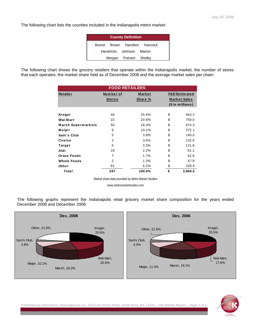The following chart lists the counties included in the Indianapolis metro market:

| <b>County Definition</b> |  |  |                          |                              |  |  |  |  |  |
|--------------------------|--|--|--------------------------|------------------------------|--|--|--|--|--|
|                          |  |  |                          | Boone Brown Hamilton Hancock |  |  |  |  |  |
|                          |  |  | Hendricks Johnson Marion |                              |  |  |  |  |  |
|                          |  |  | Morgan Putnam Shelby     |                              |  |  |  |  |  |

The following chart shows the grocery retailers that operate within the Indianapolis market, the number of stores that each operates, the market share held as of December 2008 and the average market sales per chain:

| <b>FOOD RETAILERS</b>     |                |         |                   |                                                 |  |  |  |  |  |
|---------------------------|----------------|---------|-------------------|-------------------------------------------------|--|--|--|--|--|
| <b>Retailer</b>           | Number of      | Market  |                   | <b>F&amp;D Estimated</b><br><b>Market Sales</b> |  |  |  |  |  |
|                           | <b>Stores</b>  | Share % |                   |                                                 |  |  |  |  |  |
|                           |                |         | $($$ in millions) |                                                 |  |  |  |  |  |
|                           |                |         |                   |                                                 |  |  |  |  |  |
| Kroger                    | 46             | 25.6%   | \$                | 943.2                                           |  |  |  |  |  |
| Wal-Mart                  | 22             | 20.6%   | \$                | 759.0                                           |  |  |  |  |  |
| <b>Marsh Supermarkets</b> | 50             | 18.3%   | \$                | 674.3                                           |  |  |  |  |  |
| Meijer                    | 9              | 10.1%   | \$                | 372.1                                           |  |  |  |  |  |
| Sam's Club                | 5              | 3.8%    | \$                | 140.0                                           |  |  |  |  |  |
| Costco                    | 2              | 3.6%    | \$                | 132.6                                           |  |  |  |  |  |
| <b>Target</b>             | 5              | 3.3%    | \$                | 121.6                                           |  |  |  |  |  |
| Aldi                      | 18             | 2.2%    | \$                | 81.1                                            |  |  |  |  |  |
| <b>Grace Foods</b>        | 7              | 1.7%    | \$                | 62.6                                            |  |  |  |  |  |
| <b>Whole Foods</b>        | $\overline{2}$ | 1.3%    | \$                | 47.9                                            |  |  |  |  |  |
| Other                     | 81             | 6.2%    | \$                | 228.4                                           |  |  |  |  |  |
| Total                     | 247            | 100.0%  | \$                | 3,684.5                                         |  |  |  |  |  |

Market share data provided by Metro Market Studies

www.metromarketstudies.com

The following graphs represent the Indianapolis retail grocery market share composition for the years ended December 2008 and December 2006:





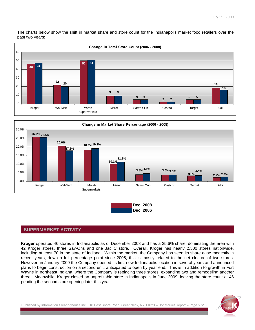The charts below show the shift in market share and store count for the Indianapolis market food retailers over the past two years:







### **SUPERMARKET ACTIVITY**

**Kroger** operated 46 stores in Indianapolis as of December 2008 and has a 25.6% share, dominating the area with 42 Kroger stores, three Sav-Ons and one Jac C store. Overall, Kroger has nearly 2,500 stores nationwide, including at least 70 in the state of Indiana. Within the market, the Company has seen its share ease modestly in recent years, down a full percentage point since 2005; this is mostly related to the net closure of two stores. However, in January 2009 the Company opened its first new Indianapolis location in several years and announced plans to begin construction on a second unit, anticipated to open by year end. This is in addition to growth in Fort Wayne in northeast Indiana, where the Company is replacing three stores, expanding two and remodeling another three. Meanwhile, Kroger closed an unprofitable store in Indianapolis in June 2009, leaving the store count at 46 pending the second store opening later this year.

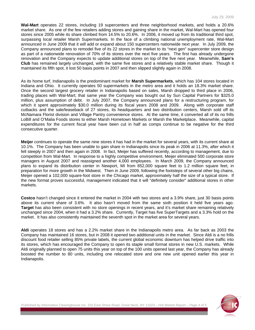**Wal-Mart** operates 22 stores, including 19 supercenters and three neighborhood markets, and holds a 20.6% market share. As one of the few retailers adding stores and gaining share in the market, Wal-Mart has opened four stores since 2005 while its share climbed from 14.5% to 20.6%. In 2006, it moved up from its traditional third spot, surpassing local retailer Marsh Supermarkets. In the face of a climbing national unemployment rate, Wal-Mart announced in June 2009 that it will add or expand about 150 supercenters nationwide next year. In July 2009, the Company announced plans to remodel five of its 22 stores in the market to its "next gen" supercenter store design as part of a nationwide renovation of 70% of its stores over the next five years. The first has already undergone renovation and the Company expects to update additional stores on top of the five next year. Meanwhile, **Sam's Club** has remained largely unchanged, with the same five stores and a relatively stable market share. Though it maintained its fifth spot, it lost 50 basis points in 2007 and then slipped slightly again in 2008.

As its home turf, Indianapolis is the predominant market for **Marsh Supermarkets**, which has 104 stores located in Indiana and Ohio. It currently operates 50 supermarkets in the metro area and it holds an 18.3% market share. Once the second largest grocery retailer in Indianapolis based on sales, Marsh dropped to third place in 2006, trading places with Wal-Mart; that same year the Company was bought out by Sun Capital Partners for \$325.0 million, plus assumption of debt. In July 2007, the Company announced plans for a restructuring program, for which it spent approximately \$30.0 million during its fiscal years 2008 and 2009. Along with corporate staff cutbacks and the sale/leaseback of 27 stores, its headquarters and two distribution centers, Marsh sold off its McNamara Florist division and Village Pantry convenience stores. At the same time, it converted all of its no frills LoBill and O'Malia Foods stores to either Marsh Hometown Markets or Marsh the Marketplace. Meanwhile, capital expenditures for the current fiscal year have been cut in half as comps continue to be negative for the third consecutive quarter.

**Meijer** continues to operate the same nine stores it has had in the market for several years, with its current share at 10.1%. The Company has been unable to gain share in Indianapolis since its peak in 2006 at 11.3%, after which it fell steeply in 2007 and then again in 2008. In fact, Meijer has suffered recently, according to management, due to competition from Wal-Mart. In response to a highly competitive environment, Meijer eliminated 500 corporate store managers in August 2007 and reassigned another 4,000 employees. In March 2009, the Company announced plans to expand its distribution center in Newport, MI from 852,000 square feet to 1.2 million square feet, in preparation for more growth in the Midwest. Then in June 2009, following the footsteps of several other big chains, Meijer opened a 102,000 square-foot store in the Chicago market, approximately half the size of a typical store. If the new format proves successful, management indicated that it will "definitely consider" additional stores in other markets.

**Costco** hasn't changed since it entered the market in 2004 with two stores and a 3.9% share, just 30 basis points above its current share of 3.6%. It also hasn't moved from the same sixth position it held five years ago. **Target** has also been consistent with no store openings in recent years, and it's market share remaining relatively unchanged since 2004, when it had a 3.2% share. Currently, Target has five SuperTargets and a 3.3% hold on the market. It has also consistently maintained the seventh spot in the market area for several years.

**Aldi** operates 18 stores and has a 2.2% market share in the Indianapolis metro area. As far back as 2003 the Company has maintained 16 stores, but in 2008 it opened two additional units in the market. Since Aldi is a no frills discount food retailer selling 85% private labels, the current global economic downturn has helped drive traffic into its stores, which has encouraged the Company to open its staple small format stores in new U.S. markets. While Aldi originally planned to open 75 units this year on top of the 100 units opened last year, the Company has already boosted the number to 80 units, including one relocated store and one new unit opened earlier this year in Indianapolis.